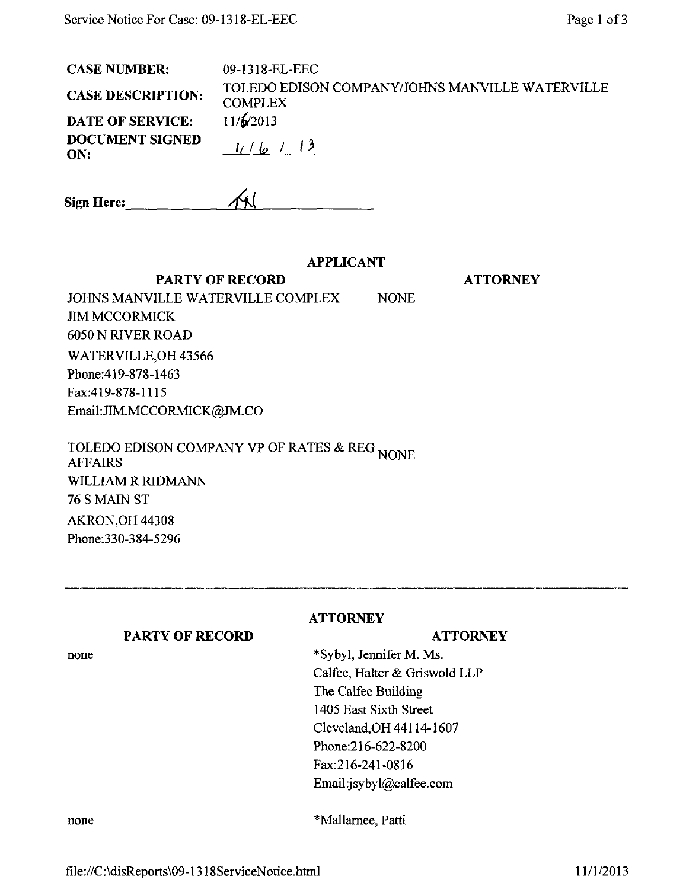| <b>CASE NUMBER:</b>           | 09-1318-EL-EEC                                                    |
|-------------------------------|-------------------------------------------------------------------|
| <b>CASE DESCRIPTION:</b>      | TOLEDO EDISON COMPANY/JOHNS MANVILLE WATERVILLE<br><b>COMPLEX</b> |
| <b>DATE OF SERVICE:</b>       | 11/6/2013                                                         |
| <b>DOCUMENT SIGNED</b><br>ON: | 1/6/3                                                             |

| <b>Sign Here:</b> | $\mathcal{M}_{\mathcal{A}}$ |
|-------------------|-----------------------------|
|                   |                             |

## APPLICANT

**ATTORNEY** 

PARTY OF RECORD JOHNS MANVILLE WATERVILLE COMPLEX NONE JIM MCCORMICK 6050 N RIVER ROAD WATERVILLE,OH 43566 Phone:419-878-1463 Fax:419-878-1115 Email:[JIM.MCCORMlCK@JM.CO](mailto:JIM.MCCORMlCK@JM.CO) 

TOLEDO EDISON COMPANY VP OF RATES & REG <sub>NONE</sub><br>AFFAIRS AFFAIRS WILLIAM R RIDMANN 76 S MAIN ST AKRON,OH 44308 Phone:330-384-5296

| <b>PARTY OF RECORD</b> |  |  |
|------------------------|--|--|
|------------------------|--|--|

**ATTORNEY** 

# **ATTORNEY**

none

\*Sybyl, Jennifer M. Ms. Calfee, Halter & Griswold LLP The Calfee Building 1405 East Sixth Street Cleveland,OH 44114-1607 Phone:216-622-8200 Fax:216-241-0816 Email:jsybyl@calfee.com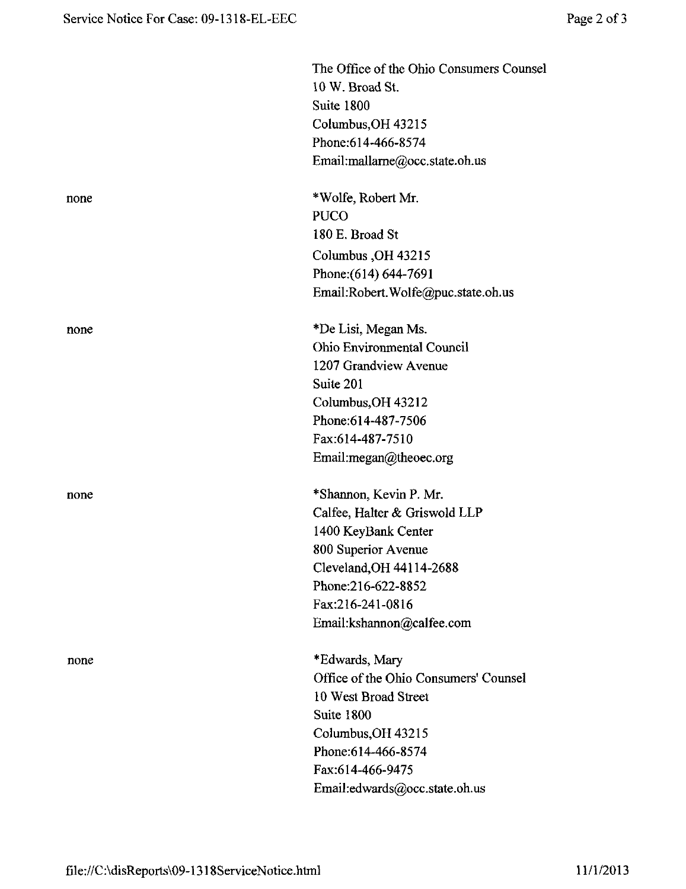|      | The Office of the Ohio Consumers Counsel<br>10 W. Broad St.<br>Suite 1800<br>Columbus, OH 43215<br>Phone: 614-466-8574<br>Email:mallarne@occ.state.oh.us                                                 |
|------|----------------------------------------------------------------------------------------------------------------------------------------------------------------------------------------------------------|
| none | *Wolfe, Robert Mr.<br><b>PUCO</b><br>180 E. Broad St<br>Columbus, OH 43215<br>Phone: (614) 644-7691<br>Email:Robert.Wolfe@puc.state.oh.us                                                                |
| none | *De Lisi, Megan Ms.<br><b>Ohio Environmental Council</b><br>1207 Grandview Avenue<br>Suite 201<br>Columbus, OH 43212<br>Phone: 614-487-7506<br>Fax:614-487-7510<br>Email:megan@theoec.org                |
| none | *Shannon, Kevin P. Mr.<br>Calfee, Halter & Griswold LLP<br>1400 KeyBank Center<br>800 Superior Avenue<br>Cleveland, OH 44114-2688<br>Phone:216-622-8852<br>Fax:216-241-0816<br>Email:kshannon@calfee.com |
| none | *Edwards, Mary<br>Office of the Ohio Consumers' Counsel<br>10 West Broad Street<br>Suite 1800<br>Columbus, OH 43215<br>Phone: 614-466-8574<br>Fax:614-466-9475<br>Email:edwards@occ.state.oh.us          |